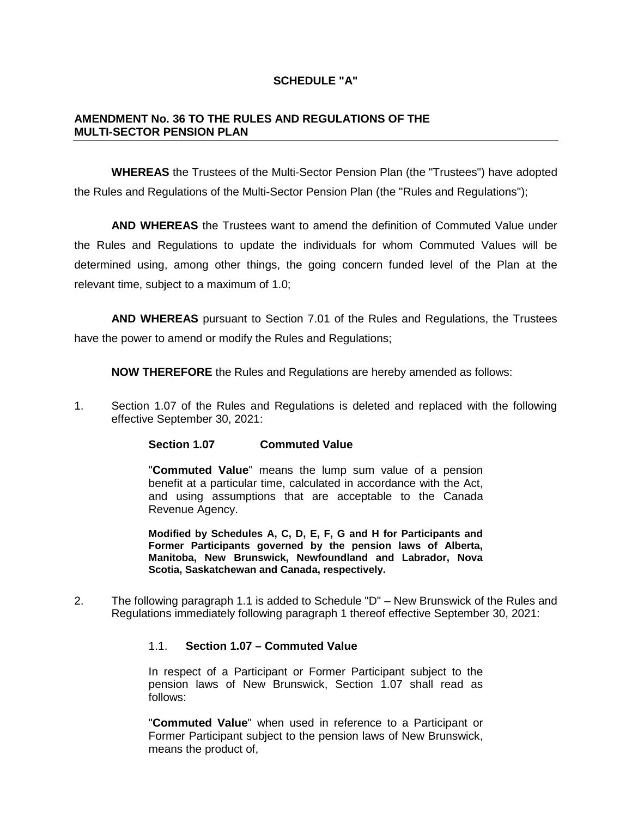## **SCHEDULE "A"**

## **AMENDMENT No. 36 TO THE RULES AND REGULATIONS OF THE MULTI-SECTOR PENSION PLAN**

**WHEREAS** the Trustees of the Multi-Sector Pension Plan (the "Trustees") have adopted the Rules and Regulations of the Multi-Sector Pension Plan (the "Rules and Regulations");

**AND WHEREAS** the Trustees want to amend the definition of Commuted Value under the Rules and Regulations to update the individuals for whom Commuted Values will be determined using, among other things, the going concern funded level of the Plan at the relevant time, subject to a maximum of 1.0;

**AND WHEREAS** pursuant to Section 7.01 of the Rules and Regulations, the Trustees have the power to amend or modify the Rules and Regulations;

**NOW THEREFORE** the Rules and Regulations are hereby amended as follows:

1. Section 1.07 of the Rules and Regulations is deleted and replaced with the following effective September 30, 2021:

**Section 1.07 Commuted Value** 

"**Commuted Value**" means the lump sum value of a pension benefit at a particular time, calculated in accordance with the Act, and using assumptions that are acceptable to the Canada Revenue Agency.

**Modified by Schedules A, C, D, E, F, G and H for Participants and Former Participants governed by the pension laws of Alberta, Manitoba, New Brunswick, Newfoundland and Labrador, Nova Scotia, Saskatchewan and Canada, respectively.** 

2. The following paragraph 1.1 is added to Schedule "D" – New Brunswick of the Rules and Regulations immediately following paragraph 1 thereof effective September 30, 2021:

## 1.1. **Section 1.07 – Commuted Value**

In respect of a Participant or Former Participant subject to the pension laws of New Brunswick, Section 1.07 shall read as follows:

"**Commuted Value**" when used in reference to a Participant or Former Participant subject to the pension laws of New Brunswick, means the product of,